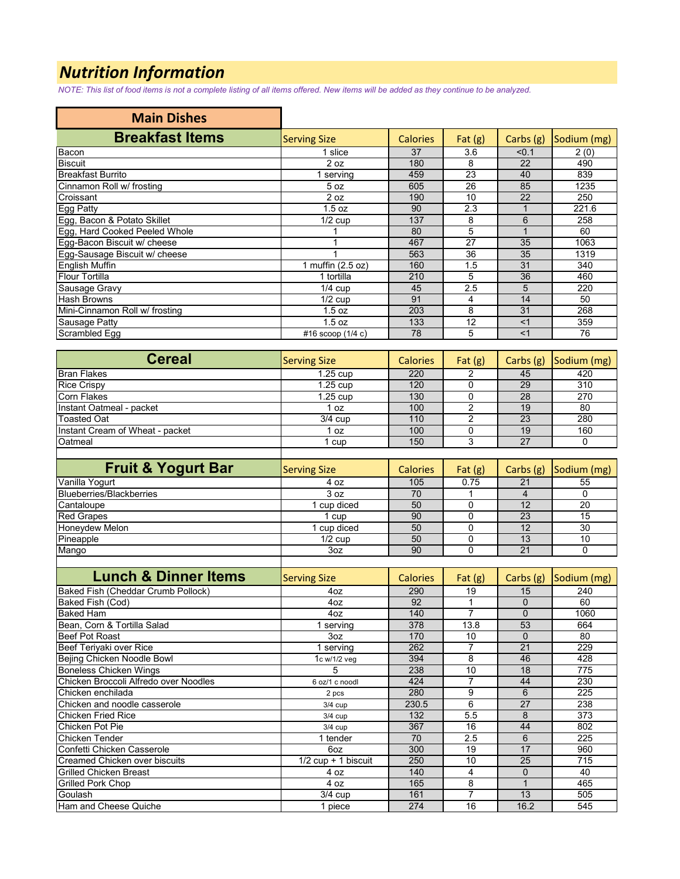## *Nutrition Information*

*NOTE: This list of food items is not a complete listing of all items offered. New items will be added as they continue to be analyzed.*

| <b>Main Dishes</b>             |                      |                 |           |           |             |
|--------------------------------|----------------------|-----------------|-----------|-----------|-------------|
| <b>Breakfast Items</b>         | <b>Serving Size</b>  | <b>Calories</b> | Fat $(g)$ | Carbs (g) | Sodium (mg) |
| Bacon                          | 1 slice              | 37              | 3.6       | < 0.1     | 2(0)        |
| <b>Biscuit</b>                 | 2 oz                 | 180             | 8         | 22        | 490         |
| <b>Breakfast Burrito</b>       | serving              | 459             | 23        | 40        | 839         |
| Cinnamon Roll w/ frosting      | 5 <sub>oz</sub>      | 605             | 26        | 85        | 1235        |
| Croissant                      | 2 oz                 | 190             | 10        | 22        | 250         |
| Egg Patty                      | 1.5 oz               | 90              | 2.3       |           | 221.6       |
| Egg, Bacon & Potato Skillet    | $\overline{1}/2$ cup | 137             | 8         | 6         | 258         |
| Egg, Hard Cooked Peeled Whole  |                      | 80              | 5         |           | 60          |
| Egg-Bacon Biscuit w/ cheese    |                      | 467             | 27        | 35        | 1063        |
| Egg-Sausage Biscuit w/ cheese  |                      | 563             | 36        | 35        | 1319        |
| <b>English Muffin</b>          | 1 muffin (2.5 oz)    | 160             | 1.5       | 31        | 340         |
| <b>Flour Tortilla</b>          | 1 tortilla           | 210             | 5         | 36        | 460         |
| Sausage Gravy                  | $1/4$ cup            | 45              | 2.5       | 5         | 220         |
| <b>Hash Browns</b>             | $1/2$ cup            | 91              | 4         | 14        | 50          |
| Mini-Cinnamon Roll w/ frosting | 1.5 oz               | 203             | 8         | 31        | 268         |
| <b>Sausage Patty</b>           | 1.5 oz               | 133             | 12        | $<$ 1     | 359         |
| <b>Scrambled Egg</b>           | #16 scoop $(1/4 c)$  | 78              | 5         | $<$ 1     | 76          |

| <b>Cereal</b>                   | <b>Serving Size</b> | <b>Calories</b> | Fat $(g)$ |    | Carbs (g) Sodium (mg) |
|---------------------------------|---------------------|-----------------|-----------|----|-----------------------|
| <b>Bran Flakes</b>              | $1.25$ cup          | 220             |           | 45 | 420                   |
| <b>Rice Crispy</b>              | $1.25$ cup          | 120             |           | 29 | 310                   |
| <b>Corn Flakes</b>              | $1.25$ cup          | 130             |           | 28 | 270                   |
| Instant Oatmeal - packet        | l oz                | 100             |           | 19 | 80                    |
| <b>Toasted Oat</b>              | $3/4$ cup           | 110             |           | 23 | 280                   |
| Instant Cream of Wheat - packet | OZ.                 | 100             |           | 19 | 160                   |
| Oatmeal                         | cup                 | 150             |           | 27 |                       |
|                                 |                     |                 |           |    |                       |

| <b>Fruit &amp; Yogurt Bar</b>   | <b>Serving Size</b> | <b>Calories</b> | Fat $(g)$ |    | Carbs $(g)$ Sodium $(mg)$ |
|---------------------------------|---------------------|-----------------|-----------|----|---------------------------|
| Vanilla Yogurt                  | 4 oz                | 105             | 0.75      | 21 | 55                        |
| <b>Blueberries/Blackberries</b> | 3 oz                | 70              |           |    |                           |
| Cantaloupe                      | cup diced           | 50              |           |    | 20                        |
| <b>Red Grapes</b>               | cup                 | 90              |           | 23 | 15                        |
| <b>Honeydew Melon</b>           | cup diced           | 50              |           | 12 | 30                        |
| Pineapple                       | $1/2$ cup           | 50              |           | 13 | 10                        |
| Mango                           | 3oz                 | 90              |           | 21 |                           |
|                                 |                     |                 |           |    |                           |

| <b>Lunch &amp; Dinner Items</b>       | <b>Serving Size</b>   | <b>Calories</b> | Fat $(g)$ | Carbs $(g)$ | Sodium (mg) |
|---------------------------------------|-----------------------|-----------------|-----------|-------------|-------------|
| Baked Fish (Cheddar Crumb Pollock)    | 4oz                   | 290             | 19        | 15          | 240         |
| Baked Fish (Cod)                      | 4oz                   | 92              |           | 0           | 60          |
| <b>Baked Ham</b>                      | 4oz                   | 140             |           | $\Omega$    | 1060        |
| Bean, Corn & Tortilla Salad           | 1 serving             | 378             | 13.8      | 53          | 664         |
| <b>Beef Pot Roast</b>                 | 3oz                   | 170             | 10        | $\Omega$    | 80          |
| Beef Teriyaki over Rice               | 1 serving             | 262             |           | 21          | 229         |
| Bejing Chicken Noodle Bowl            | 1c w/1/2 veg          | 394             | 8         | 46          | 428         |
| <b>Boneless Chicken Wings</b>         | 5                     | 238             | 10        | 18          | 775         |
| Chicken Broccoli Alfredo over Noodles | 6 oz/1 c noodl        | 424             | 7         | 44          | 230         |
| Chicken enchilada                     | 2 pcs                 | 280             | 9         | 6           | 225         |
| Chicken and noodle casserole          | $3/4$ cup             | 230.5           | 6         | 27          | 238         |
| <b>Chicken Fried Rice</b>             | $3/4$ cup             | 132             | 5.5       | 8           | 373         |
| Chicken Pot Pie                       | $3/4$ cup             | 367             | 16        | 44          | 802         |
| Chicken Tender                        | 1 tender              | 70              | 2.5       | 6           | 225         |
| Confetti Chicken Casserole            | 6oz                   | 300             | 19        | 17          | 960         |
| Creamed Chicken over biscuits         | $1/2$ cup + 1 biscuit | 250             | 10        | 25          | 715         |
| <b>Grilled Chicken Breast</b>         | 4 oz                  | 140             | 4         | 0           | 40          |
| Grilled Pork Chop                     | 4 oz                  | 165             | 8         |             | 465         |
| Goulash                               | $3/4$ cup             | 161             | 7         | 13          | 505         |
| Ham and Cheese Quiche                 | 1 piece               | 274             | 16        | 16.2        | 545         |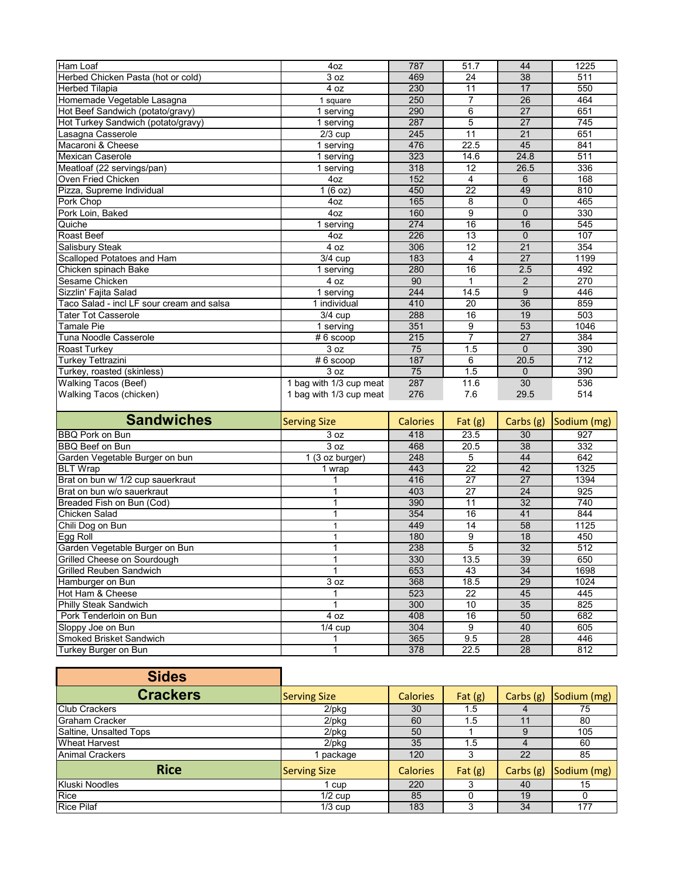| Ham Loaf                                        | 4oz                          | 787             | 51.7            | 44                    | 1225             |
|-------------------------------------------------|------------------------------|-----------------|-----------------|-----------------------|------------------|
| Herbed Chicken Pasta (hot or cold)              | $\overline{3}$ oz            | 469             | 24              | 38                    | 511              |
| <b>Herbed Tilapia</b>                           | 4 oz                         | 230             | 11              | 17                    | 550              |
| Homemade Vegetable Lasagna                      | 1 square                     | 250             | 7               | 26                    | 464              |
| Hot Beef Sandwich (potato/gravy)                | 1 serving                    | 290             | 6               | $\overline{27}$       | 651              |
| Hot Turkey Sandwich (potato/gravy)              | 1 serving                    | 287             | $\overline{5}$  | 27                    | 745              |
| Lasagna Casserole                               | $2/3$ cup                    | 245             | 11              | 21                    | 651              |
| Macaroni & Cheese                               | 1 serving                    | 476             | 22.5            | 45                    | 841              |
| <b>Mexican Caserole</b>                         | 1 serving                    | 323             | 14.6            | 24.8                  | 511              |
| Meatloaf (22 servings/pan)                      | 1 serving                    | 318             | 12              | 26.5                  | 336              |
| Oven Fried Chicken                              | 4oz                          | 152             | 4               | 6                     | 168              |
| Pizza, Supreme Individual                       | 1(6 oz)                      | 450             | $\overline{22}$ | 49                    | 810              |
| Pork Chop                                       | 4oz                          | 165             | 8               | $\mathbf{0}$          | 465              |
| Pork Loin, Baked                                | 4oz                          | 160             | $\overline{9}$  | $\mathbf{0}$          | 330              |
| Quiche                                          | 1 serving                    | 274             | 16              | 16                    | 545              |
| Roast Beef                                      | 4oz                          | 226             | 13              | $\mathbf 0$           | 107              |
| Salisbury Steak                                 | 4 oz                         | 306             | 12              | 21                    | 354              |
| Scalloped Potatoes and Ham                      | $3/4$ cup                    | 183             | 4               | $\overline{27}$       | 1199             |
| Chicken spinach Bake                            | 1 serving                    | 280             | 16              | 2.5                   | 492              |
| Sesame Chicken                                  | 4 oz                         | 90              | $\mathbf{1}$    | $\overline{2}$        | 270              |
| Sizzlin' Faiita Salad                           | 1 serving                    | 244             | 14.5            | 9                     | 446              |
| Taco Salad - incl LF sour cream and salsa       | 1 individual                 | 410             | 20              | 36                    | 859              |
| <b>Tater Tot Casserole</b>                      | $3/4$ cup                    | 288             | 16              | 19                    | 503              |
| <b>Tamale Pie</b>                               | 1 serving                    | 351             | 9               | 53                    | 1046             |
| Tuna Noodle Casserole                           | $#6$ scoop                   | 215             | $\overline{7}$  | 27                    | 384              |
| Roast Turkey                                    | 3 oz                         | 75              | 1.5             | $\overline{0}$        | 390              |
| <b>Turkey Tettrazini</b>                        | $# 6$ scoop                  | 187             | 6               | 20.5                  | 712              |
| Turkey, roasted (skinless)                      | $\overline{3}$ oz            | 75              | 1.5             | $\mathbf{0}$          | 390              |
| <b>Walking Tacos (Beef)</b>                     | 1 bag with 1/3 cup meat      | 287             | 11.6            | $\overline{30}$       | 536              |
| Walking Tacos (chicken)                         | 1 bag with 1/3 cup meat      | 276             | 7.6             | 29.5                  | 514              |
|                                                 |                              |                 |                 |                       |                  |
| <b>Sandwiches</b>                               | <b>Serving Size</b>          | <b>Calories</b> | Fat $(g)$       | Carbs (g)             | Sodium (mg)      |
| <b>BBQ Pork on Bun</b>                          | 3 oz                         | 418             | 23.5            | 30                    | 927              |
| <b>BBQ Beef on Bun</b>                          | 3 oz                         | 468             | 20.5            | 38                    | 332              |
| Garden Vegetable Burger on bun                  | $\overline{1}$ (3 oz burger) | 248             | 5               | 44                    | 642              |
| <b>BLT Wrap</b>                                 | 1 wrap                       | 443             | $\overline{22}$ | 42                    | 1325             |
| Brat on bun w/ 1/2 cup sauerkraut               | 1                            | 416             | 27              | 27                    | 1394             |
| Brat on bun w/o sauerkraut                      | 1                            | 403             | 27              | 24                    | 925              |
| Breaded Fish on Bun (Cod)                       | $\mathbf{1}$                 | 390             | $\overline{11}$ | 32                    | 740              |
| Chicken Salad                                   | 1                            | 354             | 16              | 41                    | 844              |
| Chili Dog on Bun                                | 1                            | 449             | 14              | 58                    | 1125             |
| Egg Roll                                        | 1                            | 180             | 9               | 18                    | 450              |
| Garden Vegetable Burger on Bun                  | 1                            | 238             | 5               | 32                    | $\overline{512}$ |
| Grilled Cheese on Sourdough                     | 1                            | 330             | 13.5            | 39                    | 650              |
| <b>Grilled Reuben Sandwich</b>                  |                              |                 |                 |                       |                  |
|                                                 |                              |                 |                 |                       |                  |
|                                                 | $\mathbf{1}$                 | 653             | 43              | 34                    | 1698             |
| Hamburger on Bun                                | 3 oz                         | 368             | 18.5            | 29                    | 1024             |
| Hot Ham & Cheese                                | 1                            | 523             | 22              | 45                    | 445              |
| <b>Philly Steak Sandwich</b>                    | 1                            | 300             | 10              | 35                    | 825              |
| Pork Tenderloin on Bun                          | 4 oz                         | 408             | 16              | 50                    | 682              |
| Sloppy Joe on Bun                               | $1/4$ cup                    | 304             | 9               | 40                    | 605              |
| Smoked Brisket Sandwich<br>Turkey Burger on Bun | 1<br>1                       | 365<br>378      | 9.5<br>22.5     | 28<br>$\overline{28}$ | 446<br>812       |

| <b>Sides</b>           |                     |                 |           |             |             |
|------------------------|---------------------|-----------------|-----------|-------------|-------------|
| <b>Crackers</b>        | <b>Serving Size</b> | <b>Calories</b> | Fat $(g)$ | Carbs $(g)$ | Sodium (mg) |
| <b>Club Crackers</b>   | $2$ /pkg            | 30              | . . 5     |             | 75          |
| <b>Graham Cracker</b>  | $2$ /pkg            | 60              | 5.،       | 11          | 80          |
| Saltine, Unsalted Tops | $2$ /pkg            | 50              |           | 9           | 105         |
| <b>Wheat Harvest</b>   | $2$ /p $kg$         | 35              | 1.5       | 4           | 60          |
| <b>Animal Crackers</b> | package             | 120             | 3         | 22          | 85          |
| <b>Rice</b>            | <b>Serving Size</b> | <b>Calories</b> | Fat $(g)$ | Carbs $(g)$ | Sodium (mg) |
| <b>Kluski Noodles</b>  | cup                 | 220             |           | 40          | 15          |
| Rice                   | $1/2$ cup           | 85              |           | 19          |             |
| <b>Rice Pilaf</b>      | $1/3$ cup           | 183             | 3         | 34          | 177         |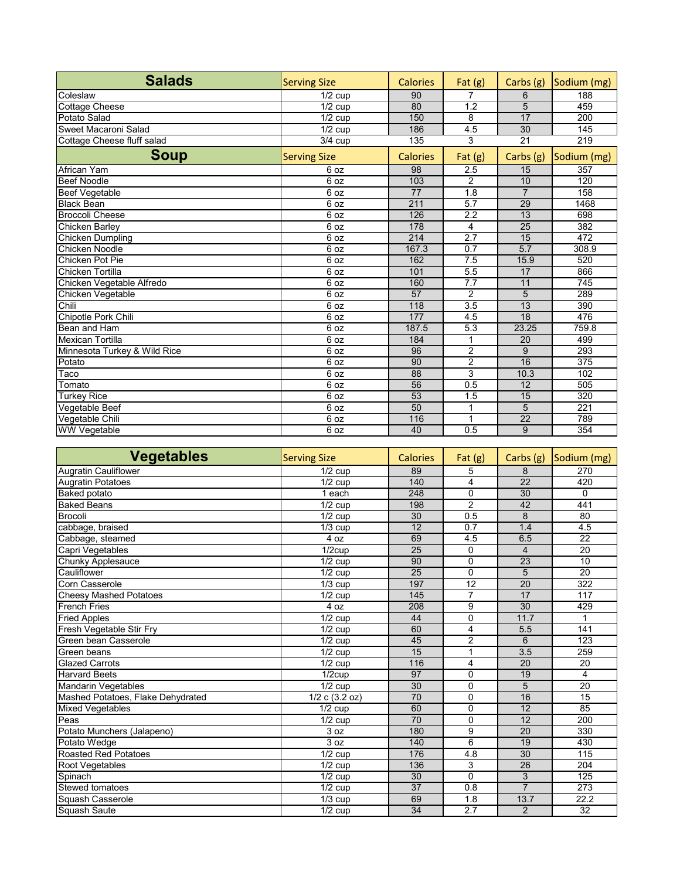| <b>Salads</b>                | <b>Serving Size</b>  | <b>Calories</b> | Fat $(g)$        | Carbs (g)       | Sodium (mg)      |
|------------------------------|----------------------|-----------------|------------------|-----------------|------------------|
| Coleslaw                     | $1/2$ cup            | 90              | 7                | 6               | 188              |
| <b>Cottage Cheese</b>        | $1/2$ cup            | 80              | $\overline{1.2}$ | 5               | 459              |
| Potato Salad                 | $1/2$ cup            | 150             | 8                | 17              | 200              |
| Sweet Macaroni Salad         | $\overline{1}/2$ cup | 186             | 4.5              | 30              | 145              |
| Cottage Cheese fluff salad   | $3/4$ cup            | 135             | 3                | $\overline{21}$ | 219              |
| <b>Soup</b>                  | <b>Serving Size</b>  | <b>Calories</b> | Fat $(g)$        | Carbs (g)       | Sodium (mg)      |
| <b>African Yam</b>           | 6 oz                 | 98              | 2.5              | 15              | 357              |
| <b>Beef Noodle</b>           | 6 oz                 | 103             | $\overline{2}$   | 10              | 120              |
| <b>Beef Vegetable</b>        | 6 oz                 | 77              | 1.8              | $\overline{7}$  | 158              |
| <b>Black Bean</b>            | 6 oz                 | 211             | 5.7              | 29              | 1468             |
| <b>Broccoli Cheese</b>       | 6 oz                 | 126             | 2.2              | 13              | 698              |
| <b>Chicken Barley</b>        | 6 oz                 | 178             | 4                | 25              | 382              |
| <b>Chicken Dumpling</b>      | 6 oz                 | 214             | $\overline{2.7}$ | 15              | 472              |
| <b>Chicken Noodle</b>        | 6 oz                 | 167.3           | 0.7              | 5.7             | 308.9            |
| <b>Chicken Pot Pie</b>       | 6 oz                 | 162             | 7.5              | 15.9            | 520              |
| Chicken Tortilla             | 6 oz                 | 101             | 5.5              | 17              | 866              |
| Chicken Vegetable Alfredo    | 6 oz                 | 160             | 7.7              | 11              | 745              |
| Chicken Vegetable            | 6 oz                 | 57              | $\overline{2}$   | 5               | 289              |
| Chili                        | 6 oz                 | 118             | 3.5              | 13              | 390              |
| Chipotle Pork Chili          | 6 oz                 | 177             | 4.5              | 18              | 476              |
| Bean and Ham                 | 6 oz                 | 187.5           | $\overline{5.3}$ | 23.25           | 759.8            |
| <b>Mexican Tortilla</b>      | 6 oz                 | 184             | $\mathbf 1$      | 20              | 499              |
| Minnesota Turkey & Wild Rice | 6 oz                 | 96              | $\overline{2}$   | 9               | 293              |
| Potato                       | 6 oz                 | 90              | $\overline{2}$   | 16              | 375              |
| Taco                         | 6 oz                 | 88              | $\overline{3}$   | 10.3            | 102              |
| Tomato                       | 6 oz                 | 56              | $\overline{0.5}$ | 12              | 505              |
| <b>Turkey Rice</b>           | 6 oz                 | 53              | $\overline{1.5}$ | 15              | $\overline{320}$ |
| Vegetable Beef               | 6 oz                 | 50              | 1                | 5               | 221              |
| Vegetable Chili              | 6 oz                 | 116             | 1                | 22              | 789              |
| <b>WW Vegetable</b>          | 6 oz                 | 40              | 0.5              | 9               | 354              |

| <b>Vegetables</b>                 | <b>Serving Size</b>  | <b>Calories</b> | Fat $(g)$        | Carbs (g)        | Sodium (mg)      |
|-----------------------------------|----------------------|-----------------|------------------|------------------|------------------|
| <b>Augratin Cauliflower</b>       | $\overline{1}/2$ cup | 89              | 5                | 8                | 270              |
| <b>Augratin Potatoes</b>          | $1/2$ cup            | 140             | 4                | 22               | 420              |
| <b>Baked</b> potato               | 1 each               | 248             | $\Omega$         | $\overline{30}$  | $\Omega$         |
| <b>Baked Beans</b>                | $\frac{1}{2}$ cup    | 198             | $\overline{2}$   | 42               | 441              |
| <b>Brocoli</b>                    | $1/2$ cup            | 30              | 0.5              | 8                | 80               |
| cabbage, braised                  | $1/3$ cup            | 12              | 0.7              | 1.4              | 4.5              |
| Cabbage, steamed                  | 4 oz                 | 69              | $\overline{4.5}$ | 6.5              | $\overline{22}$  |
| Capri Vegetables                  | $1/2$ cup            | $\overline{25}$ | $\Omega$         | $\overline{4}$   | 20               |
| Chunky Applesauce                 | $1/2$ cup            | 90              | $\Omega$         | $\overline{23}$  | 10               |
| Cauliflower                       | $1/2$ cup            | 25              | $\Omega$         | 5                | 20               |
| Corn Casserole                    | $\overline{1/3}$ cup | 197             | 12               | 20               | 322              |
| <b>Cheesy Mashed Potatoes</b>     | $1/2$ cup            | 145             | $\overline{7}$   | 17               | 117              |
| <b>French Fries</b>               | 4 oz                 | 208             | 9                | $\overline{30}$  | 429              |
| <b>Fried Apples</b>               | $\overline{1/2}$ cup | 44              | $\Omega$         | 11.7             | 1                |
| Fresh Vegetable Stir Fry          | $1/2$ cup            | 60              | 4                | 5.5              | 141              |
| Green bean Casserole              | $1/2$ cup            | 45              | $\overline{2}$   | 6                | 123              |
| Green beans                       | $1/2$ cup            | 15              | 1                | $\overline{3.5}$ | 259              |
| <b>Glazed Carrots</b>             | $1/2$ cup            | 116             | 4                | $\overline{20}$  | 20               |
| <b>Harvard Beets</b>              | $\overline{1/2}$ cup | 97              | 0                | 19               | $\overline{4}$   |
| Mandarin Vegetables               | $1/2$ cup            | 30              | $\mathbf{0}$     | 5                | 20               |
| Mashed Potatoes, Flake Dehydrated | $1/2$ c $(3.2$ oz)   | 70              | $\Omega$         | 16               | $\overline{15}$  |
| <b>Mixed Vegetables</b>           | $\frac{1}{2}$ cup    | 60              | $\Omega$         | $\overline{12}$  | 85               |
| Peas                              | $1/2$ cup            | $\overline{70}$ | $\Omega$         | 12               | 200              |
| Potato Munchers (Jalapeno)        | 3 oz                 | 180             | 9                | 20               | 330              |
| Potato Wedge                      | 3 oz                 | 140             | 6                | 19               | 430              |
| <b>Roasted Red Potatoes</b>       | $\overline{1/2}$ cup | 176             | 4.8              | $\overline{30}$  | 115              |
| Root Vegetables                   | $\overline{1/2}$ cup | 136             | 3                | $\overline{26}$  | 204              |
| Spinach                           | $\overline{1/2}$ cup | $\overline{30}$ | $\Omega$         | $\overline{3}$   | $\overline{125}$ |
| Stewed tomatoes                   | $1/2$ cup            | 37              | 0.8              | $\overline{7}$   | 273              |
| Squash Casserole                  | $1/3$ cup            | 69              | 1.8              | 13.7             | 22.2             |
| Squash Saute                      | $\frac{1}{2}$ cup    | 34              | $\overline{2.7}$ | $\overline{2}$   | 32               |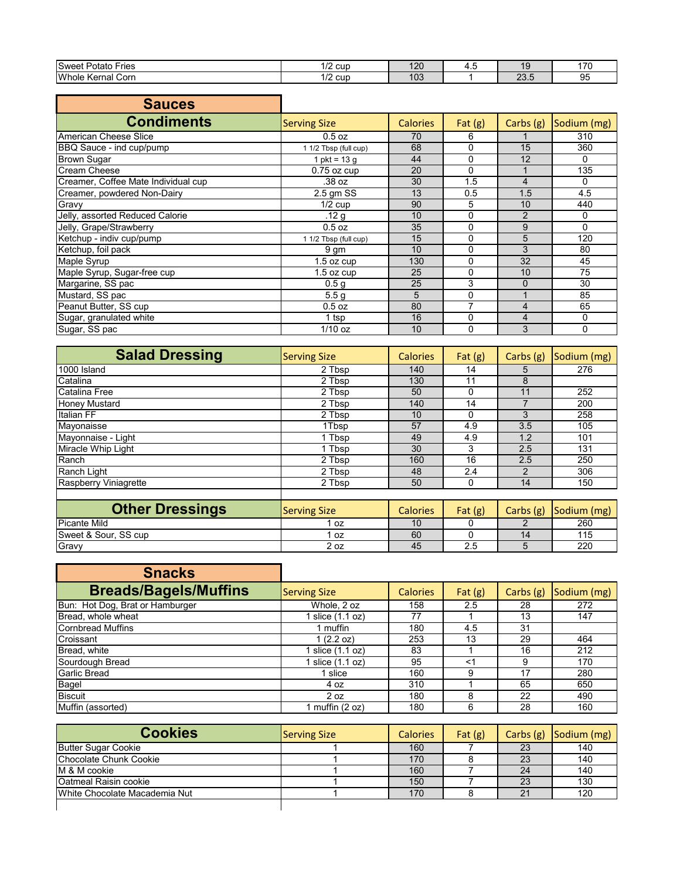| <b>Sweet</b><br>-ries<br>Potato | cup<br>$\sim$ | ור ו<br>14 L          | г. с | и.               |          |
|---------------------------------|---------------|-----------------------|------|------------------|----------|
| Whole<br>Corn<br>∴Kernal ∖      | cur<br>−      | 40 <sup>o</sup><br>юs |      | $\sim$<br>$\sim$ | ۵<br>ັບປ |

| <b>Sauces</b>                       |                       |                 |              |                |             |
|-------------------------------------|-----------------------|-----------------|--------------|----------------|-------------|
| <b>Condiments</b>                   | <b>Serving Size</b>   | <b>Calories</b> | Fat $(g)$    | Carbs (g)      | Sodium (mg) |
| American Cheese Slice               | 0.5 oz                | 70              | 6            |                | 310         |
| BBQ Sauce - ind cup/pump            | 1 1/2 Tbsp (full cup) | 68              | 0            | 15             | 360         |
| <b>Brown Sugar</b>                  | 1 pkt = $13q$         | 44              | 0            | 12             | $\Omega$    |
| <b>Cream Cheese</b>                 | $0.75$ oz cup         | 20              | $\mathbf{0}$ |                | 135         |
| Creamer, Coffee Mate Individual cup | .38 oz                | 30              | 1.5          | 4              | 0           |
| Creamer, powdered Non-Dairy         | $2.5$ gm SS           | 13              | 0.5          | 1.5            | 4.5         |
| Gravy                               | $1/2$ cup             | 90              | 5            | 10             | 440         |
| Jelly, assorted Reduced Calorie     | .12 <sub>g</sub>      | 10              | 0            | $\overline{2}$ | 0           |
| Jelly, Grape/Strawberry             | 0.5 oz                | 35              | 0            | 9              | $\Omega$    |
| Ketchup - indiv cup/pump            | 1 1/2 Tbsp (full cup) | 15              | 0            | 5              | 120         |
| Ketchup, foil pack                  | 9 gm                  | 10              | 0            | 3              | 80          |
| Maple Syrup                         | $1.5$ oz cup          | 130             | 0            | 32             | 45          |
| Maple Syrup, Sugar-free cup         | $1.5$ oz cup          | 25              | 0            | 10             | 75          |
| Margarine, SS pac                   | 0.5 <sub>g</sub>      | 25              | 3            | $\Omega$       | 30          |
| Mustard, SS pac                     | 5.5 <sub>q</sub>      | 5               | 0            |                | 85          |
| Peanut Butter, SS cup               | $0.5$ oz              | 80              |              | 4              | 65          |
| Sugar, granulated white             | 1 tsp                 | 16              | 0            | 4              | 0           |
| Sugar, SS pac                       | $1/10$ oz             | 10              | 0            | 3              | $\Omega$    |

| <b>Salad Dressing</b> | <b>Serving Size</b> | <b>Calories</b> | Fat $(g)$ | Carbs (g) | Sodium (mg) |
|-----------------------|---------------------|-----------------|-----------|-----------|-------------|
| 1000 Island           | 2 Tbsp              | 140             | 14        | 5         | 276         |
| Catalina              | 2 Tbsp              | 130             | 11        | 8         |             |
| <b>Catalina Free</b>  | 2 Tbsp              | 50              | 0         | 11        | 252         |
| <b>Honey Mustard</b>  | 2 Tbsp              | 140             | 14        |           | 200         |
| Italian FF            | 2 Tbsp              | 10              | 0         | 3         | 258         |
| Mayonaisse            | 1Tbsp               | 57              | 4.9       | 3.5       | 105         |
| Mayonnaise - Light    | 1 Tbsp              | 49              | 4.9       | 1.2       | 101         |
| Miracle Whip Light    | 1 Tbsp              | 30              | 3         | 2.5       | 131         |
| Ranch                 | 2 Tbsp              | 160             | 16        | 2.5       | 250         |
| Ranch Light           | 2 Tbsp              | 48              | 2.4       | 2         | 306         |
| Raspberry Viniagrette | 2 Tbsp              | 50              | 0         | 14        | 150         |
|                       |                     |                 |           |           |             |
| --<br>-               |                     |                 |           |           |             |

| <b>Other Dressings</b> | <b>Serving Size</b> | <b>Calories</b> | Fat $(g)$    | Carbs (g) | Sodium (mg) |
|------------------------|---------------------|-----------------|--------------|-----------|-------------|
| <b>Picante Mild</b>    | 0Z                  | 10              |              |           | 260         |
| Sweet & Sour, SS cup   | 0Z                  | 60              |              |           | 11F         |
| Gravy                  | 2 oz                | 45              | $ -$<br>ت. ے |           | 220         |

| <b>Snacks</b>                   |                     |                 |           |           |             |
|---------------------------------|---------------------|-----------------|-----------|-----------|-------------|
| <b>Breads/Bagels/Muffins</b>    | <b>Serving Size</b> | <b>Calories</b> | Fat $(g)$ | Carbs (g) | Sodium (mg) |
| Bun: Hot Dog, Brat or Hamburger | Whole, 2 oz         | 158             | 2.5       | 28        | 272         |
| Bread, whole wheat              | slice (1.1 oz)      | 77              |           | 13        | 147         |
| <b>Cornbread Muffins</b>        | 1 muffin            | 180             | 4.5       | 31        |             |
| Croissant                       | 1(2.2 oz)           | 253             | 13        | 29        | 464         |
| Bread, white                    | slice (1.1 oz)      | 83              |           | 16        | 212         |
| Sourdough Bread                 | slice (1.1 oz)      | 95              | <1        | 9         | 170         |
| <b>Garlic Bread</b>             | slice               | 160             | 9         | 17        | 280         |
| Bagel                           | 4 oz                | 310             |           | 65        | 650         |
| <b>Biscuit</b>                  | 2 oz                | 180             | 8         | 22        | 490         |
| Muffin (assorted)               | 1 muffin (2 oz)     | 180             | 6         | 28        | 160         |

| <b>Cookies</b>                | <b>Serving Size</b> | <b>Calories</b> | Fat $(g)$ | Carbs $(g)$ | Sodium (mg) |
|-------------------------------|---------------------|-----------------|-----------|-------------|-------------|
| <b>Butter Sugar Cookie</b>    |                     | 160             |           | 23          | 140         |
| Chocolate Chunk Cookie        |                     | 170             |           | 23          | 140         |
| M & M cookie                  |                     | 160             |           | 24          | 140         |
| <b>Oatmeal Raisin cookie</b>  |                     | 150             |           | 23          | 130         |
| White Chocolate Macademia Nut |                     | 170             |           | 21          | 120         |